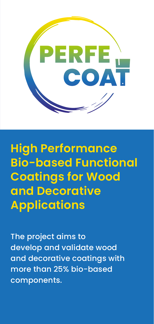

**High Performance Bio-based Functional Coatings for Wood and Decorative Applications**

The project aims to develop and validate wood and decorative coatings with more than 25% bio-based components.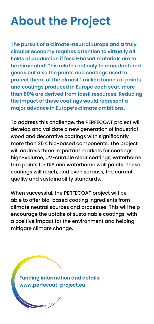# **About the Project**

**The pursuit of a climate-neutral Europe and a truly circular economy requires attention to virtually all fields of production if fossil-based materials are to be eliminated. This relates not only to manufactured goods but also the paints and coatings used to protect them; of the almost 1 million tonnes of paints and coatings produced in Europe each year, more than 80% are derived from fossil resources. Reducing the impact of these coatings would represent a major advance in Europe's climate ambitions.** 

To address this challenge, the PERFECOAT project will develop and validate a new generation of industrial wood and decorative coatings with significantly more than 25% bio-based components. The project will address three important markets for coatings: high-volume, UV-curable clear coatings, waterborne trim paints for DIY and waterborne wall paints. These coatings will reach, and even surpass, the current quality and sustainability standards.

When successful, the PERFECOAT project will be able to offer bio-based coating ingredients from climate neutral sources and processes. This will help encourage the uptake of sustainable coatings, with a positive impact for the environment and helping mitigate climate change.

**Funding information and details: www.perfecoat-project.eu**

.<br>|}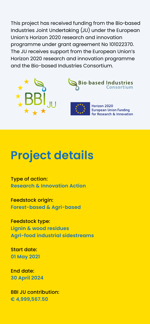This project has received funding from the Bio-based Industries Joint Undertaking (JU) under the European Union's Horizon 2020 research and innovation programme under grant agreement No 101022370. The JU receives support from the European Union's Horizon 2020 research and innovation programme and the Bio-based Industries Consortium.







Horizon 2020 **European Union Funding** for Research & Innovation

## **Project details**

Type of action: **Research & Innovation Action**

Feedstock origin: **Forest-based & Agri-based**

Feedstock type: **Lignin & wood residues Agri-food industrial sidestreams**

Start date: **01 May 2021**

End date: **30 April 2024**

BBI JU contribution: **€ 4,999,567.50**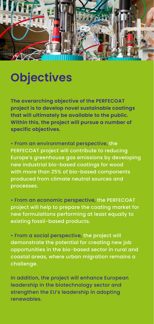

## **Objectives**

**The overarching objective of the PERFECOAT project is to develop novel sustainable coatings that will ultimately be available to the public. Within this, the project will pursue a number of specific objectives.**

• From an environmental perspective, the PERFECOAT project will contribute to reducing Europe's greenhouse gas emissions by developing new industrial bio-based coatings for wood with more than 25% of bio-based components produced from climate neutral sources and processes.

• From an economic perspective, the PERFECOAT project will help to prepare the coating market for new formulations performing at least equally to existing fossil-based products.

• From a social perspective, the project will demonstrate the potential for creating new job opportunities in the bio-based sector in rural and coastal areas, where urban migration remains a challenge.

In addition, the project will enhance European leadership in the biotechnology sector and strengthen the EU's leadership in adopting renewables.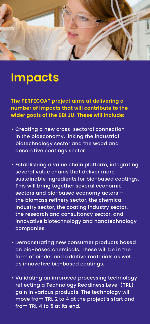

### **Impacts**

**The PERFECOAT project aims at delivering a number of impacts that will contribute to the wider goals of the BBI JU. These will include:**

- Creating a new cross-sectoral connection in the bioeconomy, linking the industrial biotechnology sector and the wood and decorative coatings sector.
- Establishing a value chain platform, integrating several value chains that deliver more sustainable ingredients for bio-based coatings. This will bring together several economic sectors and bio-based economy actors – the biomass refinery sector, the chemical industry sector, the coating industry sector, the research and consultancy sector, and innovative biotechnology and nanotechnology companies.
- Demonstrating new consumer products based on bio-based chemicals. These will be in the form of binder and additive materials as well as innovative bio-based coatings.
- Validating an improved processing technology reflecting a Technology Readiness Level (TRL) gain in various products. The technology will move from TRL 2 to 4 at the project's start and from TRL 4 to 5 at its end.